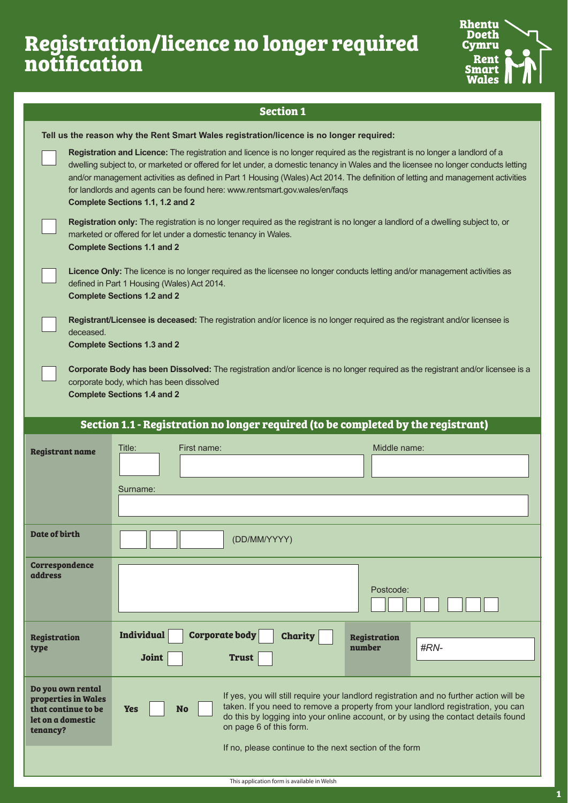# **Registration/licence no longer required notification**



|                                                                                                                                                                                                                   | <b>Section 1</b>                                                                                                                                                                                                                                                                                                                                                                                                                                                                                                        |                                                                                                                                                                                                                                                                   |  |  |
|-------------------------------------------------------------------------------------------------------------------------------------------------------------------------------------------------------------------|-------------------------------------------------------------------------------------------------------------------------------------------------------------------------------------------------------------------------------------------------------------------------------------------------------------------------------------------------------------------------------------------------------------------------------------------------------------------------------------------------------------------------|-------------------------------------------------------------------------------------------------------------------------------------------------------------------------------------------------------------------------------------------------------------------|--|--|
|                                                                                                                                                                                                                   | Tell us the reason why the Rent Smart Wales registration/licence is no longer required:                                                                                                                                                                                                                                                                                                                                                                                                                                 |                                                                                                                                                                                                                                                                   |  |  |
|                                                                                                                                                                                                                   | Registration and Licence: The registration and licence is no longer required as the registrant is no longer a landlord of a<br>dwelling subject to, or marketed or offered for let under, a domestic tenancy in Wales and the licensee no longer conducts letting<br>and/or management activities as defined in Part 1 Housing (Wales) Act 2014. The definition of letting and management activities<br>for landlords and agents can be found here: www.rentsmart.gov.wales/en/faqs<br>Complete Sections 1.1, 1.2 and 2 |                                                                                                                                                                                                                                                                   |  |  |
|                                                                                                                                                                                                                   | Registration only: The registration is no longer required as the registrant is no longer a landlord of a dwelling subject to, or<br>marketed or offered for let under a domestic tenancy in Wales.<br><b>Complete Sections 1.1 and 2</b>                                                                                                                                                                                                                                                                                |                                                                                                                                                                                                                                                                   |  |  |
|                                                                                                                                                                                                                   | Licence Only: The licence is no longer required as the licensee no longer conducts letting and/or management activities as<br>defined in Part 1 Housing (Wales) Act 2014.<br><b>Complete Sections 1.2 and 2</b>                                                                                                                                                                                                                                                                                                         |                                                                                                                                                                                                                                                                   |  |  |
|                                                                                                                                                                                                                   | Registrant/Licensee is deceased: The registration and/or licence is no longer required as the registrant and/or licensee is<br>deceased.<br><b>Complete Sections 1.3 and 2</b>                                                                                                                                                                                                                                                                                                                                          |                                                                                                                                                                                                                                                                   |  |  |
| Corporate Body has been Dissolved: The registration and/or licence is no longer required as the registrant and/or licensee is a<br>corporate body, which has been dissolved<br><b>Complete Sections 1.4 and 2</b> |                                                                                                                                                                                                                                                                                                                                                                                                                                                                                                                         |                                                                                                                                                                                                                                                                   |  |  |
|                                                                                                                                                                                                                   | Section 1.1 - Registration no longer required (to be completed by the registrant)                                                                                                                                                                                                                                                                                                                                                                                                                                       |                                                                                                                                                                                                                                                                   |  |  |
| <b>Registrant name</b>                                                                                                                                                                                            | Title:<br>First name:                                                                                                                                                                                                                                                                                                                                                                                                                                                                                                   | Middle name:                                                                                                                                                                                                                                                      |  |  |
|                                                                                                                                                                                                                   |                                                                                                                                                                                                                                                                                                                                                                                                                                                                                                                         |                                                                                                                                                                                                                                                                   |  |  |
|                                                                                                                                                                                                                   | Surname:                                                                                                                                                                                                                                                                                                                                                                                                                                                                                                                |                                                                                                                                                                                                                                                                   |  |  |
| Date of birth                                                                                                                                                                                                     | (DD/MM/YYYY)                                                                                                                                                                                                                                                                                                                                                                                                                                                                                                            |                                                                                                                                                                                                                                                                   |  |  |
| <b>Correspondence</b><br><b>address</b>                                                                                                                                                                           |                                                                                                                                                                                                                                                                                                                                                                                                                                                                                                                         | Postcode:                                                                                                                                                                                                                                                         |  |  |
| <b>Registration</b><br>type                                                                                                                                                                                       | <b>Individual</b><br><b>Corporate body</b><br><b>Charity</b><br><b>Joint</b><br><b>Trust</b>                                                                                                                                                                                                                                                                                                                                                                                                                            | <b>Registration</b><br>number<br>#RN-                                                                                                                                                                                                                             |  |  |
| Do you own rental<br>properties in Wales<br>that continue to be<br>let on a domestic<br>tenancy?                                                                                                                  | <b>Yes</b><br><b>No</b><br>on page 6 of this form.                                                                                                                                                                                                                                                                                                                                                                                                                                                                      | If yes, you will still require your landlord registration and no further action will be<br>taken. If you need to remove a property from your landlord registration, you can<br>do this by logging into your online account, or by using the contact details found |  |  |
|                                                                                                                                                                                                                   | If no, please continue to the next section of the form                                                                                                                                                                                                                                                                                                                                                                                                                                                                  |                                                                                                                                                                                                                                                                   |  |  |
|                                                                                                                                                                                                                   | This application form is available in Welsh                                                                                                                                                                                                                                                                                                                                                                                                                                                                             |                                                                                                                                                                                                                                                                   |  |  |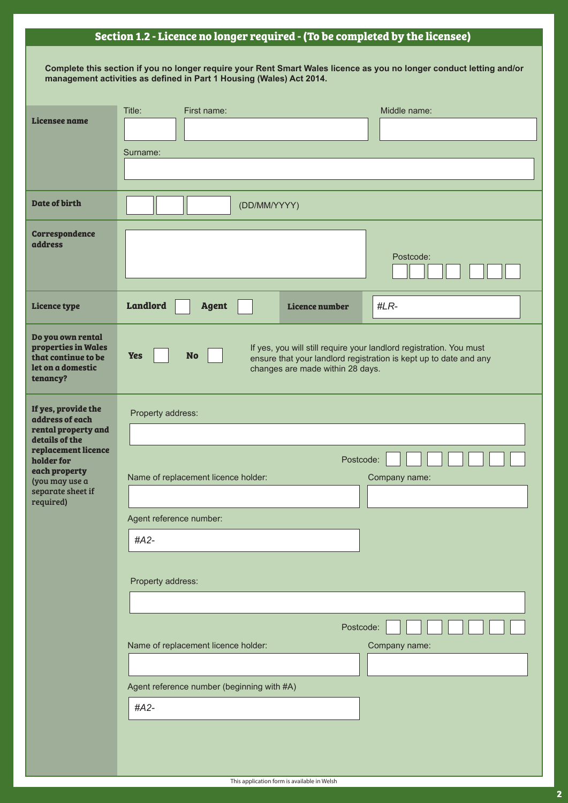# **Section 1.2 - Licence no longer required - (To be completed by the licensee)**

| Complete this section if you no longer require your Rent Smart Wales licence as you no longer conduct letting and/or |
|----------------------------------------------------------------------------------------------------------------------|
| management activities as defined in Part 1 Housing (Wales) Act 2014.                                                 |

|                                                                                                  | Title:<br>Middle name:<br>First name:                                                                                                                                                                   |  |  |
|--------------------------------------------------------------------------------------------------|---------------------------------------------------------------------------------------------------------------------------------------------------------------------------------------------------------|--|--|
| Licensee name                                                                                    |                                                                                                                                                                                                         |  |  |
|                                                                                                  | Surname:                                                                                                                                                                                                |  |  |
|                                                                                                  |                                                                                                                                                                                                         |  |  |
|                                                                                                  |                                                                                                                                                                                                         |  |  |
| Date of birth                                                                                    | (DD/MM/YYYY)                                                                                                                                                                                            |  |  |
| Correspondence                                                                                   |                                                                                                                                                                                                         |  |  |
| address                                                                                          | Postcode:                                                                                                                                                                                               |  |  |
|                                                                                                  |                                                                                                                                                                                                         |  |  |
| <b>Licence type</b>                                                                              | <b>Landlord</b><br><b>Agent</b><br>#LR-<br>Licence number                                                                                                                                               |  |  |
| Do you own rental<br>properties in Wales<br>that continue to be<br>let on a domestic<br>tenancy? | If yes, you will still require your landlord registration. You must<br><b>No</b><br><b>Yes</b><br>ensure that your landlord registration is kept up to date and any<br>changes are made within 28 days. |  |  |
| If yes, provide the                                                                              | Property address:                                                                                                                                                                                       |  |  |
| address of each<br>rental property and                                                           |                                                                                                                                                                                                         |  |  |
| details of the<br>replacement licence                                                            |                                                                                                                                                                                                         |  |  |
| holder for<br>each property                                                                      | Postcode:                                                                                                                                                                                               |  |  |
| (you may use a<br>separate sheet if                                                              | Name of replacement licence holder:<br>Company name:                                                                                                                                                    |  |  |
| required)                                                                                        |                                                                                                                                                                                                         |  |  |
|                                                                                                  | Agent reference number:                                                                                                                                                                                 |  |  |
|                                                                                                  | #A2-                                                                                                                                                                                                    |  |  |
|                                                                                                  |                                                                                                                                                                                                         |  |  |
| Property address:                                                                                |                                                                                                                                                                                                         |  |  |
|                                                                                                  |                                                                                                                                                                                                         |  |  |
|                                                                                                  | Postcode:                                                                                                                                                                                               |  |  |
|                                                                                                  | Name of replacement licence holder:<br>Company name:                                                                                                                                                    |  |  |
|                                                                                                  |                                                                                                                                                                                                         |  |  |
|                                                                                                  | Agent reference number (beginning with #A)                                                                                                                                                              |  |  |
|                                                                                                  | #A2-                                                                                                                                                                                                    |  |  |
|                                                                                                  |                                                                                                                                                                                                         |  |  |
|                                                                                                  |                                                                                                                                                                                                         |  |  |
|                                                                                                  |                                                                                                                                                                                                         |  |  |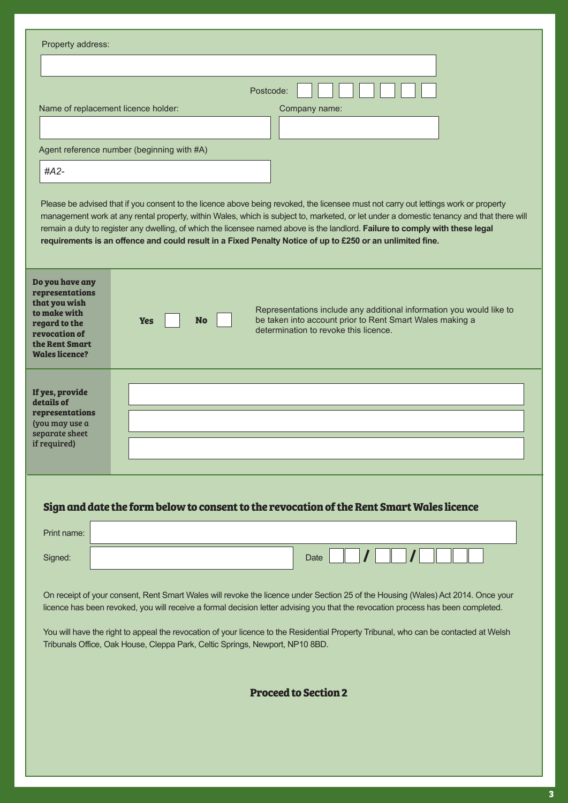| Property address:                                                                                                                                |                                                                                                                                                                                                                                                                                                                                                                                                                                                                                                                               |
|--------------------------------------------------------------------------------------------------------------------------------------------------|-------------------------------------------------------------------------------------------------------------------------------------------------------------------------------------------------------------------------------------------------------------------------------------------------------------------------------------------------------------------------------------------------------------------------------------------------------------------------------------------------------------------------------|
|                                                                                                                                                  |                                                                                                                                                                                                                                                                                                                                                                                                                                                                                                                               |
|                                                                                                                                                  | Postcode:                                                                                                                                                                                                                                                                                                                                                                                                                                                                                                                     |
|                                                                                                                                                  | Name of replacement licence holder:<br>Company name:                                                                                                                                                                                                                                                                                                                                                                                                                                                                          |
|                                                                                                                                                  |                                                                                                                                                                                                                                                                                                                                                                                                                                                                                                                               |
|                                                                                                                                                  | Agent reference number (beginning with #A)                                                                                                                                                                                                                                                                                                                                                                                                                                                                                    |
| $#A2-$                                                                                                                                           |                                                                                                                                                                                                                                                                                                                                                                                                                                                                                                                               |
|                                                                                                                                                  | Please be advised that if you consent to the licence above being revoked, the licensee must not carry out lettings work or property<br>management work at any rental property, within Wales, which is subject to, marketed, or let under a domestic tenancy and that there will<br>remain a duty to register any dwelling, of which the licensee named above is the landlord. Failure to comply with these legal<br>requirements is an offence and could result in a Fixed Penalty Notice of up to £250 or an unlimited fine. |
| Do you have any<br>representations<br>that you wish<br>to make with<br>regard to the<br>revocation of<br>the Rent Smart<br><b>Wales licence?</b> | Representations include any additional information you would like to<br>be taken into account prior to Rent Smart Wales making a<br>No<br><b>Yes</b><br>determination to revoke this licence.                                                                                                                                                                                                                                                                                                                                 |
| If yes, provide<br>details of<br>representations<br>(you may use a<br>separate sheet<br>if required)                                             |                                                                                                                                                                                                                                                                                                                                                                                                                                                                                                                               |
|                                                                                                                                                  | Sign and date the form below to consent to the revocation of the Rent Smart Wales licence                                                                                                                                                                                                                                                                                                                                                                                                                                     |
| Print name:                                                                                                                                      |                                                                                                                                                                                                                                                                                                                                                                                                                                                                                                                               |
| Signed:                                                                                                                                          | Date                                                                                                                                                                                                                                                                                                                                                                                                                                                                                                                          |
|                                                                                                                                                  | On receipt of your consent, Rent Smart Wales will revoke the licence under Section 25 of the Housing (Wales) Act 2014. Once your<br>licence has been revoked, you will receive a formal decision letter advising you that the revocation process has been completed.<br>You will have the right to appeal the revocation of your licence to the Residential Property Tribunal, who can be contacted at Welsh<br>Tribunals Office, Oak House, Cleppa Park, Celtic Springs, Newport, NP10 8BD.                                  |
|                                                                                                                                                  |                                                                                                                                                                                                                                                                                                                                                                                                                                                                                                                               |

**Proceed to Section 2**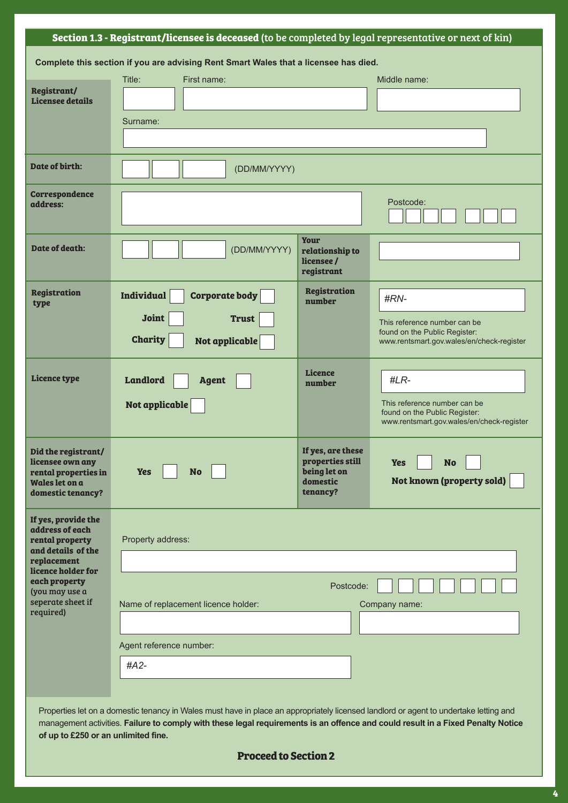### **Section 1.3 - Registrant/licensee is deceased** (to be completed by legal representative or next of kin)

|                                                                                                        | Complete this section if you are advising Rent Smart Wales that a licensee has died.                                                                                                                                                                                     |                                                                               |                                                                                                            |  |
|--------------------------------------------------------------------------------------------------------|--------------------------------------------------------------------------------------------------------------------------------------------------------------------------------------------------------------------------------------------------------------------------|-------------------------------------------------------------------------------|------------------------------------------------------------------------------------------------------------|--|
|                                                                                                        | Title:<br>First name:                                                                                                                                                                                                                                                    |                                                                               | Middle name:                                                                                               |  |
| Registrant/<br><b>Licensee details</b>                                                                 |                                                                                                                                                                                                                                                                          |                                                                               |                                                                                                            |  |
|                                                                                                        |                                                                                                                                                                                                                                                                          |                                                                               |                                                                                                            |  |
|                                                                                                        | Surname:                                                                                                                                                                                                                                                                 |                                                                               |                                                                                                            |  |
|                                                                                                        |                                                                                                                                                                                                                                                                          |                                                                               |                                                                                                            |  |
| Date of birth:                                                                                         | (DD/MM/YYYY)                                                                                                                                                                                                                                                             |                                                                               |                                                                                                            |  |
| <b>Correspondence</b><br>address:                                                                      |                                                                                                                                                                                                                                                                          |                                                                               | Postcode:                                                                                                  |  |
| Date of death:                                                                                         | (DD/MM/YYYY)                                                                                                                                                                                                                                                             | <b>Your</b><br>relationship to<br>licensee /<br>registrant                    |                                                                                                            |  |
| <b>Registration</b>                                                                                    | <b>Individual</b><br><b>Corporate body</b>                                                                                                                                                                                                                               | <b>Registration</b>                                                           | #RN-                                                                                                       |  |
| type                                                                                                   |                                                                                                                                                                                                                                                                          | number                                                                        |                                                                                                            |  |
|                                                                                                        | <b>Joint</b><br><b>Trust</b>                                                                                                                                                                                                                                             |                                                                               | This reference number can be<br>found on the Public Register:                                              |  |
|                                                                                                        | <b>Charity</b><br>Not applicable                                                                                                                                                                                                                                         |                                                                               | www.rentsmart.gov.wales/en/check-register                                                                  |  |
|                                                                                                        |                                                                                                                                                                                                                                                                          |                                                                               |                                                                                                            |  |
| <b>Licence type</b>                                                                                    | <b>Landlord</b><br><b>Agent</b>                                                                                                                                                                                                                                          | <b>Licence</b><br>number                                                      | $#LR-$                                                                                                     |  |
|                                                                                                        | Not applicable                                                                                                                                                                                                                                                           |                                                                               | This reference number can be<br>found on the Public Register:<br>www.rentsmart.gov.wales/en/check-register |  |
| Did the registrant/<br>licensee own any<br>rental properties in<br>Wales let on a<br>domestic tenancy? | <b>No</b><br><b>Yes</b>                                                                                                                                                                                                                                                  | If yes, are these<br>properties still<br>being let on<br>domestic<br>tenancy? | <b>No</b><br><b>Yes</b><br>Not known (property sold)                                                       |  |
| If yes, provide the<br>address of each<br>rental property<br>and details of the                        | Property address:                                                                                                                                                                                                                                                        |                                                                               |                                                                                                            |  |
| replacement<br>licence holder for                                                                      |                                                                                                                                                                                                                                                                          |                                                                               |                                                                                                            |  |
| each property<br>(you may use a                                                                        |                                                                                                                                                                                                                                                                          | Postcode:                                                                     |                                                                                                            |  |
| seperate sheet if<br>required)                                                                         | Name of replacement licence holder:                                                                                                                                                                                                                                      |                                                                               | Company name:                                                                                              |  |
|                                                                                                        |                                                                                                                                                                                                                                                                          |                                                                               |                                                                                                            |  |
|                                                                                                        | Agent reference number:                                                                                                                                                                                                                                                  |                                                                               |                                                                                                            |  |
|                                                                                                        | #A2-                                                                                                                                                                                                                                                                     |                                                                               |                                                                                                            |  |
|                                                                                                        |                                                                                                                                                                                                                                                                          |                                                                               |                                                                                                            |  |
|                                                                                                        |                                                                                                                                                                                                                                                                          |                                                                               |                                                                                                            |  |
|                                                                                                        | Properties let on a domestic tenancy in Wales must have in place an appropriately licensed landlord or agent to undertake letting and<br>management activities. Failure to comply with these legal requirements is an offence and could result in a Fixed Penalty Notice |                                                                               |                                                                                                            |  |
| of up to £250 or an unlimited fine.                                                                    |                                                                                                                                                                                                                                                                          |                                                                               |                                                                                                            |  |

#### **Proceed to Section 2**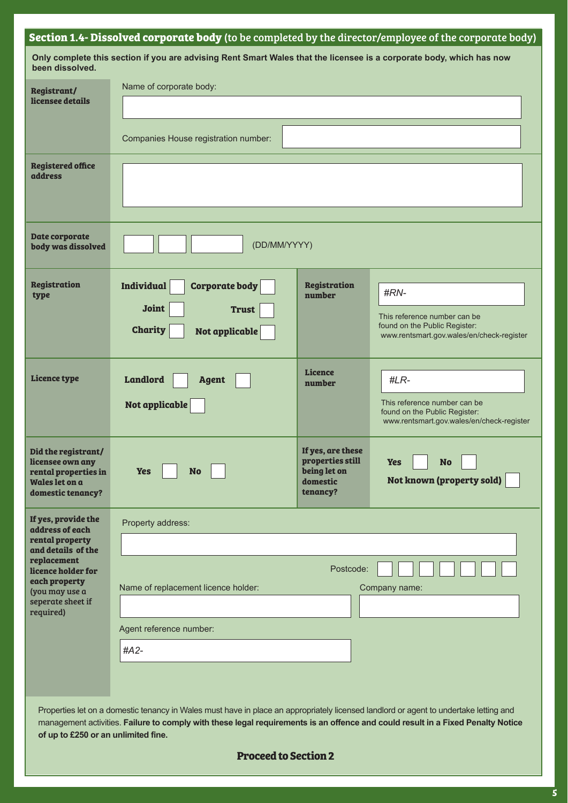## **Section 1.4- Dissolved corporate body** (to be completed by the director/employee of the corporate body)

| been dissolved.                                                                                                              | Only complete this section if you are advising Rent Smart Wales that the licensee is a corporate body, which has now                                                                                                                                                     |                                                                               |                                                                                                                    |
|------------------------------------------------------------------------------------------------------------------------------|--------------------------------------------------------------------------------------------------------------------------------------------------------------------------------------------------------------------------------------------------------------------------|-------------------------------------------------------------------------------|--------------------------------------------------------------------------------------------------------------------|
| <b>Registrant/</b><br>licensee details                                                                                       | Name of corporate body:                                                                                                                                                                                                                                                  |                                                                               |                                                                                                                    |
|                                                                                                                              | Companies House registration number:                                                                                                                                                                                                                                     |                                                                               |                                                                                                                    |
| <b>Registered office</b><br><b>address</b>                                                                                   |                                                                                                                                                                                                                                                                          |                                                                               |                                                                                                                    |
| <b>Date corporate</b><br>body was dissolved                                                                                  | (DD/MM/YYYY)                                                                                                                                                                                                                                                             |                                                                               |                                                                                                                    |
| <b>Registration</b><br>type                                                                                                  | <b>Individual</b><br><b>Corporate body</b><br><b>Joint</b><br><b>Trust</b><br><b>Charity</b><br>Not applicable                                                                                                                                                           | <b>Registration</b><br>number                                                 | #RN-<br>This reference number can be<br>found on the Public Register:<br>www.rentsmart.gov.wales/en/check-register |
| <b>Licence type</b>                                                                                                          | <b>Landlord</b><br><b>Agent</b><br>Not applicable                                                                                                                                                                                                                        | <b>Licence</b><br>number                                                      | #LR-<br>This reference number can be<br>found on the Public Register:<br>www.rentsmart.gov.wales/en/check-register |
| Did the registrant/<br>licensee own any<br>rental properties in<br>Wales let on a<br>domestic tenancy?                       | <b>Yes</b><br><b>No</b>                                                                                                                                                                                                                                                  | If yes, are these<br>properties still<br>being let on<br>domestic<br>tenancy? | <b>Yes</b><br><b>No</b><br>Not known (property sold)                                                               |
| If yes, provide the<br>address of each<br>rental property                                                                    | Property address:                                                                                                                                                                                                                                                        |                                                                               |                                                                                                                    |
| and details of the<br>replacement<br>licence holder for<br>each property<br>(you may use a<br>seperate sheet if<br>required) | Postcode:<br>Name of replacement licence holder:<br>Company name:                                                                                                                                                                                                        |                                                                               |                                                                                                                    |
|                                                                                                                              | Agent reference number:<br>#A2-                                                                                                                                                                                                                                          |                                                                               |                                                                                                                    |
|                                                                                                                              | Properties let on a domestic tenancy in Wales must have in place an appropriately licensed landlord or agent to undertake letting and<br>management activities. Failure to comply with these legal requirements is an offence and could result in a Fixed Penalty Notice |                                                                               |                                                                                                                    |

#### **Proceed to Section 2**

**of up to £250 or an unlimited fine.**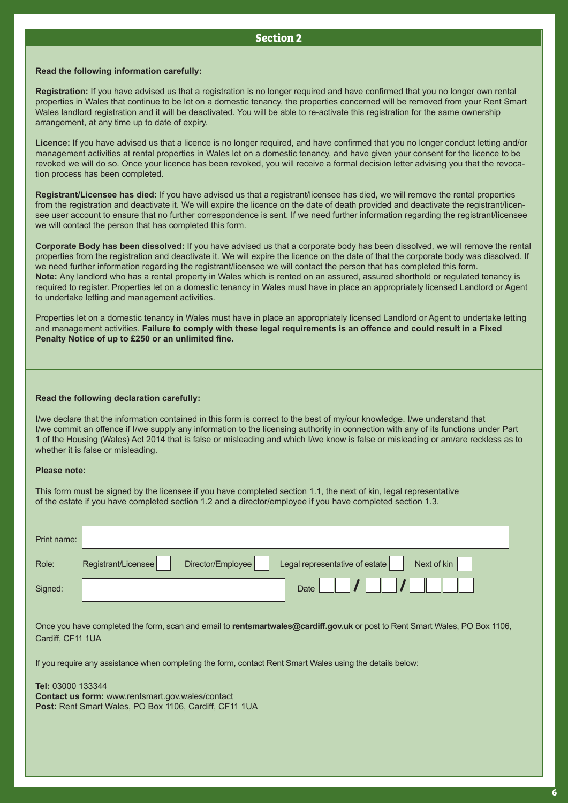#### **Section 2**

#### **Read the following information carefully:**

**Registration:** If you have advised us that a registration is no longer required and have confirmed that you no longer own rental properties in Wales that continue to be let on a domestic tenancy, the properties concerned will be removed from your Rent Smart Wales landlord registration and it will be deactivated. You will be able to re-activate this registration for the same ownership arrangement, at any time up to date of expiry.

**Licence:** If you have advised us that a licence is no longer required, and have confirmed that you no longer conduct letting and/or management activities at rental properties in Wales let on a domestic tenancy, and have given your consent for the licence to be revoked we will do so. Once your licence has been revoked, you will receive a formal decision letter advising you that the revocation process has been completed.

**Registrant/Licensee has died:** If you have advised us that a registrant/licensee has died, we will remove the rental properties from the registration and deactivate it. We will expire the licence on the date of death provided and deactivate the registrant/licensee user account to ensure that no further correspondence is sent. If we need further information regarding the registrant/licensee we will contact the person that has completed this form.

**Corporate Body has been dissolved:** If you have advised us that a corporate body has been dissolved, we will remove the rental properties from the registration and deactivate it. We will expire the licence on the date of that the corporate body was dissolved. If we need further information regarding the registrant/licensee we will contact the person that has completed this form. **Note:** Any landlord who has a rental property in Wales which is rented on an assured, assured shorthold or regulated tenancy is required to register. Properties let on a domestic tenancy in Wales must have in place an appropriately licensed Landlord or Agent to undertake letting and management activities.

Properties let on a domestic tenancy in Wales must have in place an appropriately licensed Landlord or Agent to undertake letting and management activities. **Failure to comply with these legal requirements is an offence and could result in a Fixed Penalty Notice of up to £250 or an unlimited fine.**

#### **Read the following declaration carefully:**

I/we declare that the information contained in this form is correct to the best of my/our knowledge. I/we understand that I/we commit an offence if I/we supply any information to the licensing authority in connection with any of its functions under Part 1 of the Housing (Wales) Act 2014 that is false or misleading and which I/we know is false or misleading or am/are reckless as to whether it is false or misleading.

#### **Please note:**

This form must be signed by the licensee if you have completed section 1.1, the next of kin, legal representative of the estate if you have completed section 1.2 and a director/employee if you have completed section 1.3.

| Registrant/Licensee                                                                                                                                  | Director/Employee | Legal representative of estate<br>Next of kin |  |  |
|------------------------------------------------------------------------------------------------------------------------------------------------------|-------------------|-----------------------------------------------|--|--|
|                                                                                                                                                      |                   | Date                                          |  |  |
|                                                                                                                                                      |                   |                                               |  |  |
| Once you have completed the form, scan and email to rentsmartwales@cardiff.gov.uk or post to Rent Smart Wales, PO Box 1106,<br>Cardiff, CF11 1UA     |                   |                                               |  |  |
| If you require any assistance when completing the form, contact Rent Smart Wales using the details below:                                            |                   |                                               |  |  |
|                                                                                                                                                      |                   |                                               |  |  |
| <b>Tel: 03000 133344</b><br><b>Contact us form:</b> www.rentsmart.gov.wales/contact<br><b>Post:</b> Rent Smart Wales, PO Box 1106, Cardiff, CF11 1UA |                   |                                               |  |  |
|                                                                                                                                                      |                   |                                               |  |  |